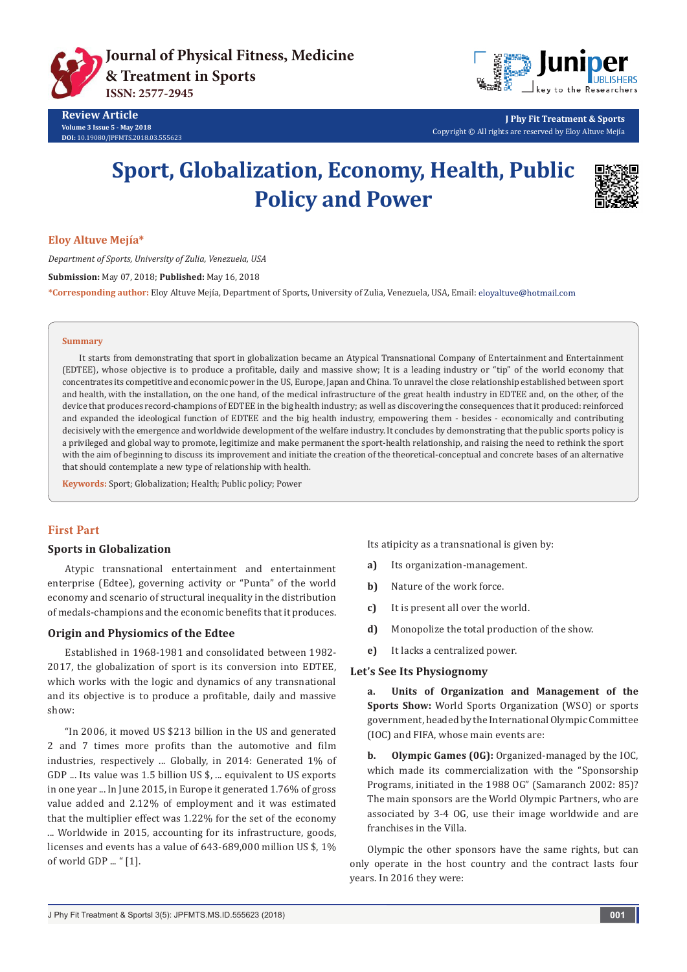



**J Phy Fit Treatment & Sports** Copyright © All rights are reserved by Eloy Altuve Mejía

# **Sport, Globalization, Economy, Health, Public Policy and Power**



**Eloy Altuve Mejía\***

*Department of Sports, University of Zulia, Venezuela, USA*

**Submission:** May 07, 2018; **Published:** May 16, 2018

**\*Corresponding author:** Eloy Altuve Mejía, Department of Sports, University of Zulia, Venezuela, USA, Email:

#### **Summary**

It starts from demonstrating that sport in globalization became an Atypical Transnational Company of Entertainment and Entertainment (EDTEE), whose objective is to produce a profitable, daily and massive show; It is a leading industry or "tip" of the world economy that concentrates its competitive and economic power in the US, Europe, Japan and China. To unravel the close relationship established between sport and health, with the installation, on the one hand, of the medical infrastructure of the great health industry in EDTEE and, on the other, of the device that produces record-champions of EDTEE in the big health industry; as well as discovering the consequences that it produced: reinforced and expanded the ideological function of EDTEE and the big health industry, empowering them - besides - economically and contributing decisively with the emergence and worldwide development of the welfare industry. It concludes by demonstrating that the public sports policy is a privileged and global way to promote, legitimize and make permanent the sport-health relationship, and raising the need to rethink the sport with the aim of beginning to discuss its improvement and initiate the creation of the theoretical-conceptual and concrete bases of an alternative that should contemplate a new type of relationship with health.

**Keywords:** Sport; Globalization; Health; Public policy; Power

## **First Part**

#### **Sports in Globalization**

Atypic transnational entertainment and entertainment enterprise (Edtee), governing activity or "Punta" of the world economy and scenario of structural inequality in the distribution of medals-champions and the economic benefits that it produces.

## **Origin and Physiomics of the Edtee**

Established in 1968-1981 and consolidated between 1982- 2017, the globalization of sport is its conversion into EDTEE, which works with the logic and dynamics of any transnational and its objective is to produce a profitable, daily and massive show:

"In 2006, it moved US \$213 billion in the US and generated 2 and 7 times more profits than the automotive and film industries, respectively ... Globally, in 2014: Generated 1% of GDP ... Its value was 1.5 billion US \$, ... equivalent to US exports in one year ... In June 2015, in Europe it generated 1.76% of gross value added and 2.12% of employment and it was estimated that the multiplier effect was 1.22% for the set of the economy ... Worldwide in 2015, accounting for its infrastructure, goods, licenses and events has a value of 643-689,000 million US \$, 1% of world GDP ... " [1].

Its atipicity as a transnational is given by:

- **a)** Its organization-management.
- **b)** Nature of the work force.
- **c)** It is present all over the world.
- **d)** Monopolize the total production of the show.
- **e)** It lacks a centralized power.

#### **Let's See Its Physiognomy**

**a. Units of Organization and Management of the Sports Show:** World Sports Organization (WSO) or sports government, headed by the International Olympic Committee (IOC) and FIFA, whose main events are:

**b. Olympic Games (0G):** Organized-managed by the IOC, which made its commercialization with the "Sponsorship Programs, initiated in the 1988 OG" (Samaranch 2002: 85)? The main sponsors are the World Olympic Partners, who are associated by 3-4 OG, use their image worldwide and are franchises in the Villa.

Olympic the other sponsors have the same rights, but can only operate in the host country and the contract lasts four years. In 2016 they were: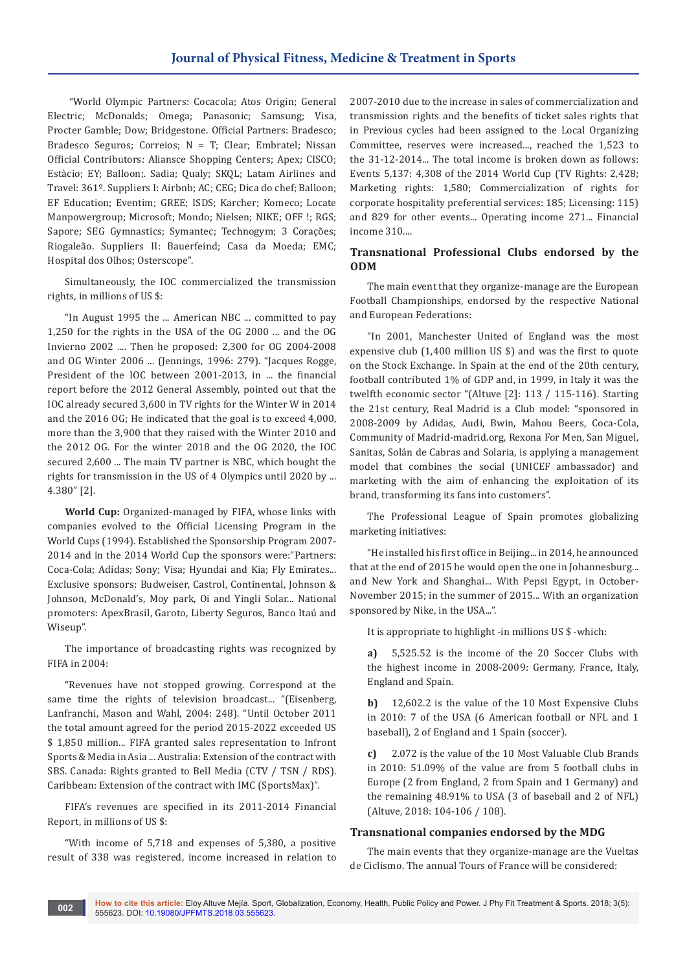"World Olympic Partners: Cocacola; Atos Origin; General Electric; McDonalds; Omega; Panasonic; Samsung; Visa, Procter Gamble; Dow; Bridgestone. Official Partners: Bradesco; Bradesco Seguros; Correios; N = T; Clear; Embratel; Nissan Official Contributors: Aliansce Shopping Centers; Apex; CISCO; Estàcio; EY; Balloon;. Sadia; Qualy; SKQL; Latam Airlines and Travel: 361º. Suppliers I: Airbnb; AC; CEG; Dica do chef; Balloon; EF Education; Eventim; GREE; ISDS; Karcher; Komeco; Locate Manpowergroup; Microsoft; Mondo; Nielsen; NIKE; OFF !; RGS; Sapore; SEG Gymnastics; Symantec; Technogym; 3 Corações; Riogaleão. Suppliers II: Bauerfeind; Casa da Moeda; EMC; Hospital dos Olhos; Osterscope".

Simultaneously, the IOC commercialized the transmission rights, in millions of US \$:

"In August 1995 the ... American NBC ... committed to pay 1,250 for the rights in the USA of the OG 2000 ... and the OG Invierno 2002 .... Then he proposed: 2,300 for OG 2004-2008 and OG Winter 2006 ... (Jennings, 1996: 279). "Jacques Rogge, President of the IOC between 2001-2013, in ... the financial report before the 2012 General Assembly, pointed out that the IOC already secured 3,600 in TV rights for the Winter W in 2014 and the 2016 OG; He indicated that the goal is to exceed 4,000, more than the 3,900 that they raised with the Winter 2010 and the 2012 OG. For the winter 2018 and the OG 2020, the IOC secured 2,600 ... The main TV partner is NBC, which bought the rights for transmission in the US of 4 Olympics until 2020 by ... 4.380" [2].

**World Cup:** Organized-managed by FIFA, whose links with companies evolved to the Official Licensing Program in the World Cups (1994). Established the Sponsorship Program 2007- 2014 and in the 2014 World Cup the sponsors were:"Partners: Coca-Cola; Adidas; Sony; Visa; Hyundai and Kia; Fly Emirates... Exclusive sponsors: Budweiser, Castrol, Continental, Johnson & Johnson, McDonald's, Moy park, Oi and Yingli Solar... National promoters: ApexBrasil, Garoto, Liberty Seguros, Banco Itaú and Wiseup".

The importance of broadcasting rights was recognized by FIFA in 2004:

"Revenues have not stopped growing. Correspond at the same time the rights of television broadcast... "(Eisenberg, Lanfranchi, Mason and Wahl, 2004: 248). "Until October 2011 the total amount agreed for the period 2015-2022 exceeded US \$ 1,850 million... FIFA granted sales representation to Infront Sports & Media in Asia ... Australia: Extension of the contract with SBS. Canada: Rights granted to Bell Media (CTV / TSN / RDS). Caribbean: Extension of the contract with IMC (SportsMax)".

FIFA's revenues are specified in its 2011-2014 Financial Report, in millions of US \$:

"With income of 5,718 and expenses of 5,380, a positive result of 338 was registered, income increased in relation to

2007-2010 due to the increase in sales of commercialization and transmission rights and the benefits of ticket sales rights that in Previous cycles had been assigned to the Local Organizing Committee, reserves were increased..., reached the 1,523 to the 31-12-2014... The total income is broken down as follows: Events 5,137: 4,308 of the 2014 World Cup (TV Rights: 2,428; Marketing rights: 1,580; Commercialization of rights for corporate hospitality preferential services: 185; Licensing: 115) and 829 for other events... Operating income 271... Financial income 310....

## **Transnational Professional Clubs endorsed by the ODM**

The main event that they organize-manage are the European Football Championships, endorsed by the respective National and European Federations:

"In 2001, Manchester United of England was the most expensive club (1,400 million US \$) and was the first to quote on the Stock Exchange. In Spain at the end of the 20th century, football contributed 1% of GDP and, in 1999, in Italy it was the twelfth economic sector "(Altuve [2]: 113 / 115-116). Starting the 21st century, Real Madrid is a Club model: "sponsored in 2008-2009 by Adidas, Audi, Bwin, Mahou Beers, Coca-Cola, Community of Madrid-madrid.org, Rexona For Men, San Miguel, Sanitas, Solán de Cabras and Solaria, is applying a management model that combines the social (UNICEF ambassador) and marketing with the aim of enhancing the exploitation of its brand, transforming its fans into customers".

The Professional League of Spain promotes globalizing marketing initiatives:

"He installed his first office in Beijing... in 2014, he announced that at the end of 2015 he would open the one in Johannesburg... and New York and Shanghai... With Pepsi Egypt, in October-November 2015; in the summer of 2015... With an organization sponsored by Nike, in the USA...".

It is appropriate to highlight -in millions US \$ -which:

**a)** 5,525.52 is the income of the 20 Soccer Clubs with the highest income in 2008-2009: Germany, France, Italy, England and Spain.

**b)** 12,602.2 is the value of the 10 Most Expensive Clubs in 2010: 7 of the USA (6 American football or NFL and 1 baseball), 2 of England and 1 Spain (soccer).

**c)** 2.072 is the value of the 10 Most Valuable Club Brands in 2010: 51.09% of the value are from 5 football clubs in Europe (2 from England, 2 from Spain and 1 Germany) and the remaining 48.91% to USA (3 of baseball and 2 of NFL) (Altuve, 2018: 104-106 / 108).

## **Transnational companies endorsed by the MDG**

The main events that they organize-manage are the Vueltas de Ciclismo. The annual Tours of France will be considered: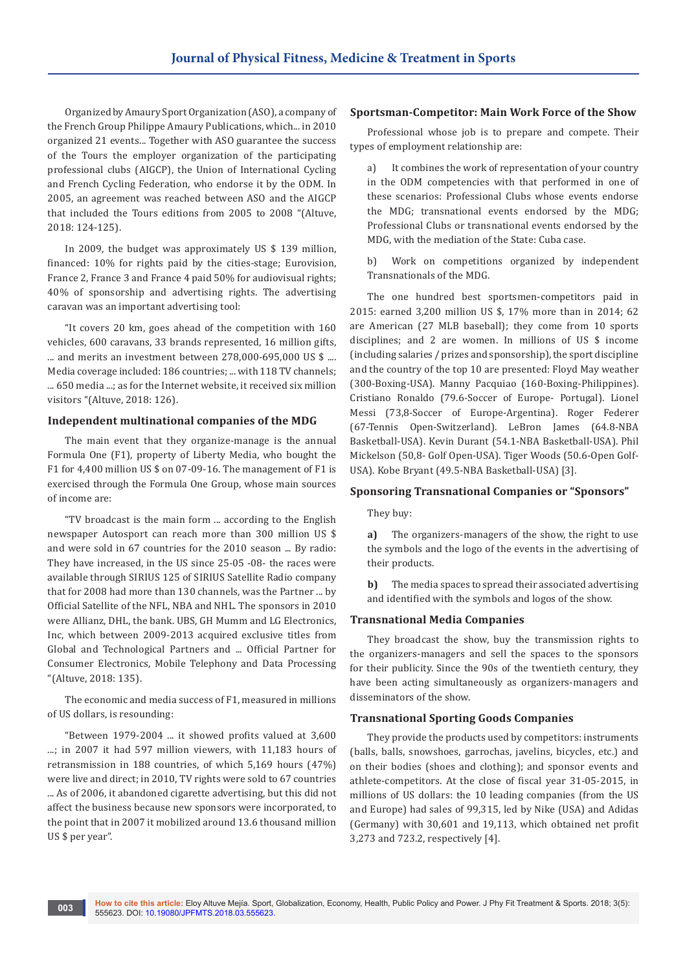Organized by Amaury Sport Organization (ASO), a company of the French Group Philippe Amaury Publications, which... in 2010 organized 21 events... Together with ASO guarantee the success of the Tours the employer organization of the participating professional clubs (AIGCP), the Union of International Cycling and French Cycling Federation, who endorse it by the ODM. In 2005, an agreement was reached between ASO and the AIGCP that included the Tours editions from 2005 to 2008 "(Altuve, 2018: 124-125).

In 2009, the budget was approximately US \$ 139 million, financed: 10% for rights paid by the cities-stage; Eurovision, France 2, France 3 and France 4 paid 50% for audiovisual rights; 40% of sponsorship and advertising rights. The advertising caravan was an important advertising tool:

"It covers 20 km, goes ahead of the competition with 160 vehicles, 600 caravans, 33 brands represented, 16 million gifts, ... and merits an investment between 278,000-695,000 US \$ .... Media coverage included: 186 countries; ... with 118 TV channels; ... 650 media ...; as for the Internet website, it received six million visitors "(Altuve, 2018: 126).

## **Independent multinational companies of the MDG**

The main event that they organize-manage is the annual Formula One (F1), property of Liberty Media, who bought the F1 for 4,400 million US \$ on 07-09-16. The management of F1 is exercised through the Formula One Group, whose main sources of income are:

"TV broadcast is the main form ... according to the English newspaper Autosport can reach more than 300 million US \$ and were sold in 67 countries for the 2010 season ... By radio: They have increased, in the US since 25-05 -08- the races were available through SIRIUS 125 of SIRIUS Satellite Radio company that for 2008 had more than 130 channels, was the Partner ... by Official Satellite of the NFL, NBA and NHL. The sponsors in 2010 were Allianz, DHL, the bank. UBS, GH Mumm and LG Electronics, Inc, which between 2009-2013 acquired exclusive titles from Global and Technological Partners and ... Official Partner for Consumer Electronics, Mobile Telephony and Data Processing "(Altuve, 2018: 135).

The economic and media success of F1, measured in millions of US dollars, is resounding:

"Between 1979-2004 ... it showed profits valued at 3,600 ...; in 2007 it had 597 million viewers, with 11,183 hours of retransmission in 188 countries, of which 5,169 hours (47%) were live and direct; in 2010, TV rights were sold to 67 countries ... As of 2006, it abandoned cigarette advertising, but this did not affect the business because new sponsors were incorporated, to the point that in 2007 it mobilized around 13.6 thousand million US \$ per year".

#### **Sportsman-Competitor: Main Work Force of the Show**

Professional whose job is to prepare and compete. Their types of employment relationship are:

a) It combines the work of representation of your country in the ODM competencies with that performed in one of these scenarios: Professional Clubs whose events endorse the MDG; transnational events endorsed by the MDG; Professional Clubs or transnational events endorsed by the MDG, with the mediation of the State: Cuba case.

b) Work on competitions organized by independent Transnationals of the MDG.

The one hundred best sportsmen-competitors paid in 2015: earned 3,200 million US \$, 17% more than in 2014; 62 are American (27 MLB baseball); they come from 10 sports disciplines; and 2 are women. In millions of US \$ income (including salaries / prizes and sponsorship), the sport discipline and the country of the top 10 are presented: Floyd May weather (300-Boxing-USA). Manny Pacquiao (160-Boxing-Philippines). Cristiano Ronaldo (79.6-Soccer of Europe- Portugal). Lionel Messi (73,8-Soccer of Europe-Argentina). Roger Federer (67-Tennis Open-Switzerland). LeBron James (64.8-NBA Basketball-USA). Kevin Durant (54.1-NBA Basketball-USA). Phil Mickelson (50,8- Golf Open-USA). Tiger Woods (50.6-Open Golf-USA). Kobe Bryant (49.5-NBA Basketball-USA) [3].

#### **Sponsoring Transnational Companies or "Sponsors"**

They buy:

**a)** The organizers-managers of the show, the right to use the symbols and the logo of the events in the advertising of their products.

**b)** The media spaces to spread their associated advertising and identified with the symbols and logos of the show.

#### **Transnational Media Companies**

They broadcast the show, buy the transmission rights to the organizers-managers and sell the spaces to the sponsors for their publicity. Since the 90s of the twentieth century, they have been acting simultaneously as organizers-managers and disseminators of the show.

#### **Transnational Sporting Goods Companies**

They provide the products used by competitors: instruments (balls, balls, snowshoes, garrochas, javelins, bicycles, etc.) and on their bodies (shoes and clothing); and sponsor events and athlete-competitors. At the close of fiscal year 31-05-2015, in millions of US dollars: the 10 leading companies (from the US and Europe) had sales of 99,315, led by Nike (USA) and Adidas (Germany) with 30,601 and 19,113, which obtained net profit 3,273 and 723.2, respectively [4].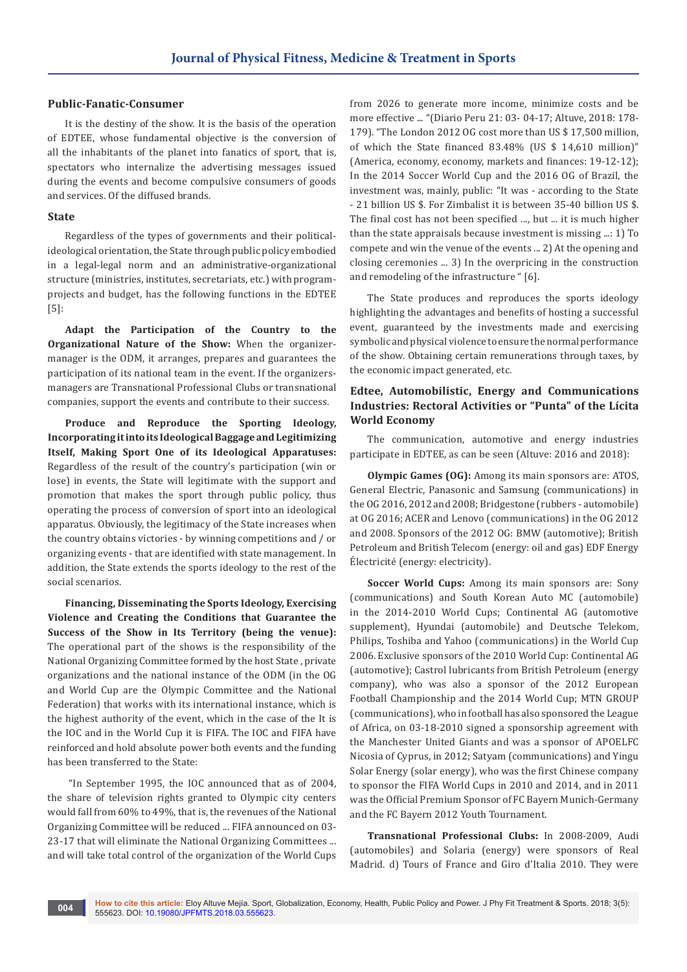#### **Public-Fanatic-Consumer**

It is the destiny of the show. It is the basis of the operation of EDTEE, whose fundamental objective is the conversion of all the inhabitants of the planet into fanatics of sport, that is, spectators who internalize the advertising messages issued during the events and become compulsive consumers of goods and services. Of the diffused brands.

#### **State**

Regardless of the types of governments and their politicalideological orientation, the State through public policy embodied in a legal-legal norm and an administrative-organizational structure (ministries, institutes, secretariats, etc.) with programprojects and budget, has the following functions in the EDTEE [5]:

**Adapt the Participation of the Country to the Organizational Nature of the Show:** When the organizermanager is the ODM, it arranges, prepares and guarantees the participation of its national team in the event. If the organizersmanagers are Transnational Professional Clubs or transnational companies, support the events and contribute to their success.

**Produce and Reproduce the Sporting Ideology, Incorporating it into its Ideological Baggage and Legitimizing Itself, Making Sport One of its Ideological Apparatuses:** Regardless of the result of the country's participation (win or lose) in events, the State will legitimate with the support and promotion that makes the sport through public policy, thus operating the process of conversion of sport into an ideological apparatus. Obviously, the legitimacy of the State increases when the country obtains victories - by winning competitions and / or organizing events - that are identified with state management. In addition, the State extends the sports ideology to the rest of the social scenarios.

**Financing, Disseminating the Sports Ideology, Exercising Violence and Creating the Conditions that Guarantee the Success of the Show in Its Territory (being the venue):** The operational part of the shows is the responsibility of the National Organizing Committee formed by the host State , private organizations and the national instance of the ODM (in the OG and World Cup are the Olympic Committee and the National Federation) that works with its international instance, which is the highest authority of the event, which in the case of the It is the IOC and in the World Cup it is FIFA. The IOC and FIFA have reinforced and hold absolute power both events and the funding has been transferred to the State:

 "In September 1995, the IOC announced that as of 2004, the share of television rights granted to Olympic city centers would fall from 60% to 49%, that is, the revenues of the National Organizing Committee will be reduced ... FIFA announced on 03- 23-17 that will eliminate the National Organizing Committees ... and will take total control of the organization of the World Cups from 2026 to generate more income, minimize costs and be more effective ... "(Diario Peru 21: 03- 04-17; Altuve, 2018: 178- 179). "The London 2012 OG cost more than US \$ 17,500 million, of which the State financed 83.48% (US \$ 14,610 million)" (America, economy, economy, markets and finances: 19-12-12); In the 2014 Soccer World Cup and the 2016 OG of Brazil, the investment was, mainly, public: "It was - according to the State - 21 billion US \$. For Zimbalist it is between 35-40 billion US \$. The final cost has not been specified ..., but ... it is much higher than the state appraisals because investment is missing ...: 1) To compete and win the venue of the events ... 2) At the opening and closing ceremonies ... 3) In the overpricing in the construction and remodeling of the infrastructure " [6].

The State produces and reproduces the sports ideology highlighting the advantages and benefits of hosting a successful event, guaranteed by the investments made and exercising symbolic and physical violence to ensure the normal performance of the show. Obtaining certain remunerations through taxes, by the economic impact generated, etc.

## **Edtee, Automobilistic, Energy and Communications Industries: Rectoral Activities or "Punta" of the Lícita World Economy**

The communication, automotive and energy industries participate in EDTEE, as can be seen (Altuve: 2016 and 2018):

**Olympic Games (OG):** Among its main sponsors are: ATOS, General Electric, Panasonic and Samsung (communications) in the OG 2016, 2012 and 2008; Bridgestone (rubbers - automobile) at OG 2016; ACER and Lenovo (communications) in the OG 2012 and 2008. Sponsors of the 2012 OG: BMW (automotive); British Petroleum and British Telecom (energy: oil and gas) EDF Energy Électricité (energy: electricity).

**Soccer World Cups:** Among its main sponsors are: Sony (communications) and South Korean Auto MC (automobile) in the 2014-2010 World Cups; Continental AG (automotive supplement), Hyundai (automobile) and Deutsche Telekom, Philips, Toshiba and Yahoo (communications) in the World Cup 2006. Exclusive sponsors of the 2010 World Cup: Continental AG (automotive); Castrol lubricants from British Petroleum (energy company), who was also a sponsor of the 2012 European Football Championship and the 2014 World Cup; MTN GROUP (communications), who in football has also sponsored the League of Africa, on 03-18-2010 signed a sponsorship agreement with the Manchester United Giants and was a sponsor of APOELFC Nicosia of Cyprus, in 2012; Satyam (communications) and Yingu Solar Energy (solar energy), who was the first Chinese company to sponsor the FIFA World Cups in 2010 and 2014, and in 2011 was the Official Premium Sponsor of FC Bayern Munich-Germany and the FC Bayern 2012 Youth Tournament.

**Transnational Professional Clubs:** In 2008-2009, Audi (automobiles) and Solaria (energy) were sponsors of Real Madrid. d) Tours of France and Giro d'Italia 2010. They were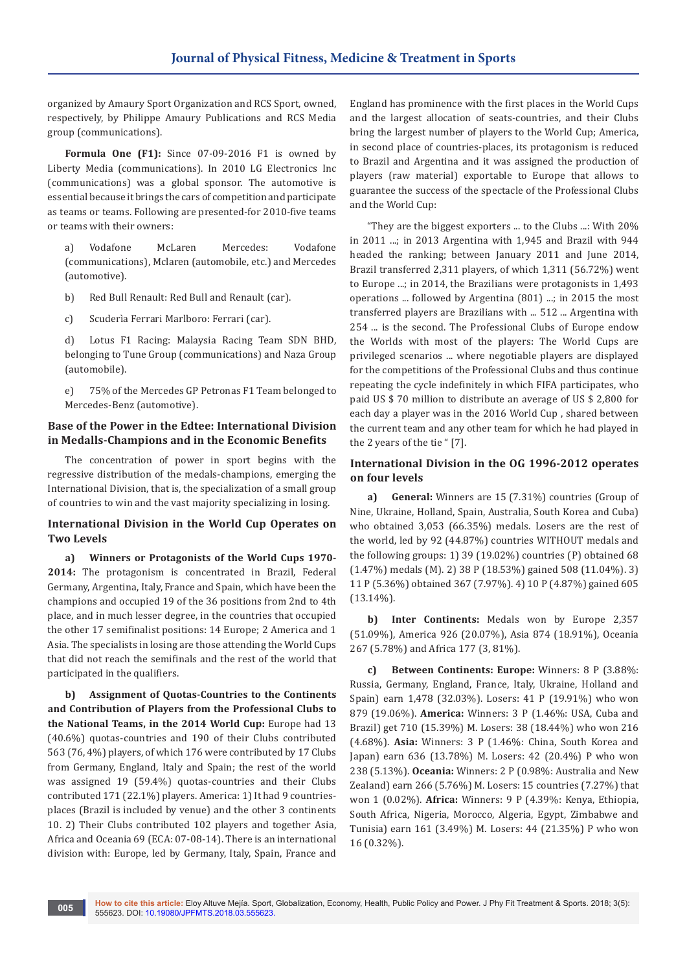organized by Amaury Sport Organization and RCS Sport, owned, respectively, by Philippe Amaury Publications and RCS Media group (communications).

**Formula One (F1):** Since 07-09-2016 F1 is owned by Liberty Media (communications). In 2010 LG Electronics Inc (communications) was a global sponsor. The automotive is essential because it brings the cars of competition and participate as teams or teams. Following are presented-for 2010-five teams or teams with their owners:

a) Vodafone McLaren Mercedes: Vodafone (communications), Mclaren (automobile, etc.) and Mercedes (automotive).

b) Red Bull Renault: Red Bull and Renault (car).

c) Scuderìa Ferrari Marlboro: Ferrari (car).

d) Lotus F1 Racing: Malaysia Racing Team SDN BHD, belonging to Tune Group (communications) and Naza Group (automobile).

e) 75% of the Mercedes GP Petronas F1 Team belonged to Mercedes-Benz (automotive).

### **Base of the Power in the Edtee: International Division in Medalls-Champions and in the Economic Benefits**

The concentration of power in sport begins with the regressive distribution of the medals-champions, emerging the International Division, that is, the specialization of a small group of countries to win and the vast majority specializing in losing.

## **International Division in the World Cup Operates on Two Levels**

**a) Winners or Protagonists of the World Cups 1970- 2014:** The protagonism is concentrated in Brazil, Federal Germany, Argentina, Italy, France and Spain, which have been the champions and occupied 19 of the 36 positions from 2nd to 4th place, and in much lesser degree, in the countries that occupied the other 17 semifinalist positions: 14 Europe; 2 America and 1 Asia. The specialists in losing are those attending the World Cups that did not reach the semifinals and the rest of the world that participated in the qualifiers.

**b) Assignment of Quotas-Countries to the Continents and Contribution of Players from the Professional Clubs to the National Teams, in the 2014 World Cup:** Europe had 13 (40.6%) quotas-countries and 190 of their Clubs contributed 563 (76, 4%) players, of which 176 were contributed by 17 Clubs from Germany, England, Italy and Spain; the rest of the world was assigned 19 (59.4%) quotas-countries and their Clubs contributed 171 (22.1%) players. America: 1) It had 9 countriesplaces (Brazil is included by venue) and the other 3 continents 10. 2) Their Clubs contributed 102 players and together Asia, Africa and Oceania 69 (ECA: 07-08-14). There is an international division with: Europe, led by Germany, Italy, Spain, France and

England has prominence with the first places in the World Cups and the largest allocation of seats-countries, and their Clubs bring the largest number of players to the World Cup; America, in second place of countries-places, its protagonism is reduced to Brazil and Argentina and it was assigned the production of players (raw material) exportable to Europe that allows to guarantee the success of the spectacle of the Professional Clubs and the World Cup:

"They are the biggest exporters ... to the Clubs ...: With 20% in 2011 ...; in 2013 Argentina with 1,945 and Brazil with 944 headed the ranking; between January 2011 and June 2014, Brazil transferred 2,311 players, of which 1,311 (56.72%) went to Europe ...; in 2014, the Brazilians were protagonists in 1,493 operations ... followed by Argentina (801) ...; in 2015 the most transferred players are Brazilians with ... 512 ... Argentina with 254 ... is the second. The Professional Clubs of Europe endow the Worlds with most of the players: The World Cups are privileged scenarios ... where negotiable players are displayed for the competitions of the Professional Clubs and thus continue repeating the cycle indefinitely in which FIFA participates, who paid US \$ 70 million to distribute an average of US \$ 2,800 for each day a player was in the 2016 World Cup , shared between the current team and any other team for which he had played in the 2 years of the tie " [7].

## **International Division in the OG 1996-2012 operates on four levels**

**a) General:** Winners are 15 (7.31%) countries (Group of Nine, Ukraine, Holland, Spain, Australia, South Korea and Cuba) who obtained 3,053 (66.35%) medals. Losers are the rest of the world, led by 92 (44.87%) countries WITHOUT medals and the following groups: 1) 39 (19.02%) countries (P) obtained 68 (1.47%) medals (M). 2) 38 P (18.53%) gained 508 (11.04%). 3) 11 P (5.36%) obtained 367 (7.97%). 4) 10 P (4.87%) gained 605 (13.14%).

**b) Inter Continents:** Medals won by Europe 2,357 (51.09%), America 926 (20.07%), Asia 874 (18.91%), Oceania 267 (5.78%) and Africa 177 (3, 81%).

**c) Between Continents: Europe:** Winners: 8 P (3.88%: Russia, Germany, England, France, Italy, Ukraine, Holland and Spain) earn 1,478 (32.03%). Losers: 41 P (19.91%) who won 879 (19.06%). **America:** Winners: 3 P (1.46%: USA, Cuba and Brazil) get 710 (15.39%) M. Losers: 38 (18.44%) who won 216 (4.68%). **Asia:** Winners: 3 P (1.46%: China, South Korea and Japan) earn 636 (13.78%) M. Losers: 42 (20.4%) P who won 238 (5.13%). **Oceania:** Winners: 2 P (0.98%: Australia and New Zealand) earn 266 (5.76%) M. Losers: 15 countries (7.27%) that won 1 (0.02%). **Africa:** Winners: 9 P (4.39%: Kenya, Ethiopia, South Africa, Nigeria, Morocco, Algeria, Egypt, Zimbabwe and Tunisia) earn 161 (3.49%) M. Losers: 44 (21.35%) P who won 16 (0.32%).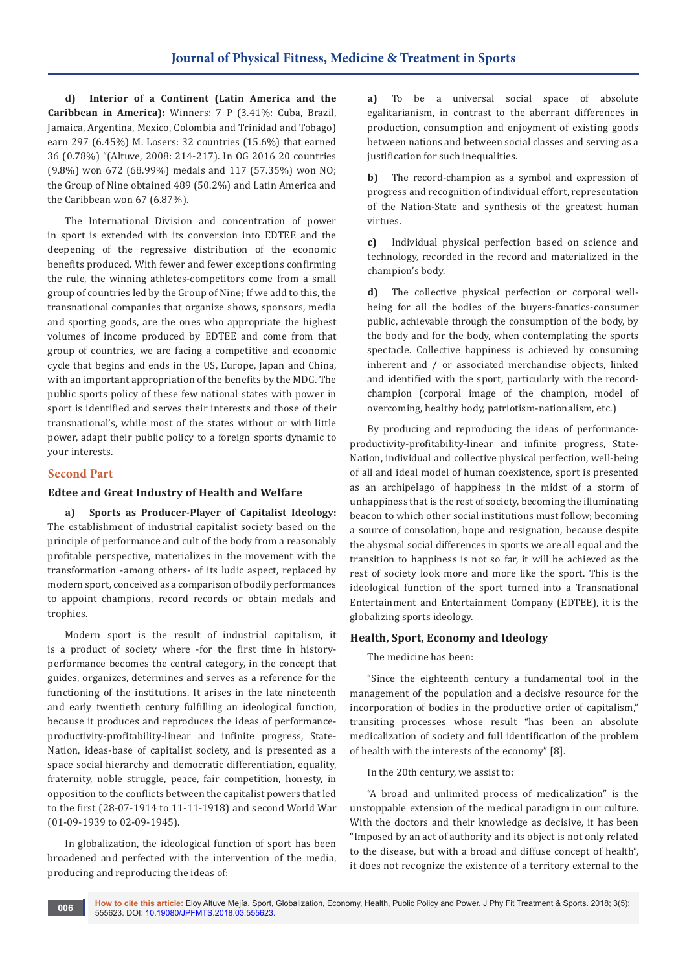**d) Interior of a Continent (Latin America and the Caribbean in America):** Winners: 7 P (3.41%: Cuba, Brazil, Jamaica, Argentina, Mexico, Colombia and Trinidad and Tobago) earn 297 (6.45%) M. Losers: 32 countries (15.6%) that earned 36 (0.78%) "(Altuve, 2008: 214-217). In OG 2016 20 countries (9.8%) won 672 (68.99%) medals and 117 (57.35%) won NO; the Group of Nine obtained 489 (50.2%) and Latin America and the Caribbean won 67 (6.87%).

The International Division and concentration of power in sport is extended with its conversion into EDTEE and the deepening of the regressive distribution of the economic benefits produced. With fewer and fewer exceptions confirming the rule, the winning athletes-competitors come from a small group of countries led by the Group of Nine; If we add to this, the transnational companies that organize shows, sponsors, media and sporting goods, are the ones who appropriate the highest volumes of income produced by EDTEE and come from that group of countries, we are facing a competitive and economic cycle that begins and ends in the US, Europe, Japan and China, with an important appropriation of the benefits by the MDG. The public sports policy of these few national states with power in sport is identified and serves their interests and those of their transnational's, while most of the states without or with little power, adapt their public policy to a foreign sports dynamic to your interests.

## **Second Part**

## **Edtee and Great Industry of Health and Welfare**

**a) Sports as Producer-Player of Capitalist Ideology:** The establishment of industrial capitalist society based on the principle of performance and cult of the body from a reasonably profitable perspective, materializes in the movement with the transformation -among others- of its ludic aspect, replaced by modern sport, conceived as a comparison of bodily performances to appoint champions, record records or obtain medals and trophies.

Modern sport is the result of industrial capitalism, it is a product of society where -for the first time in historyperformance becomes the central category, in the concept that guides, organizes, determines and serves as a reference for the functioning of the institutions. It arises in the late nineteenth and early twentieth century fulfilling an ideological function, because it produces and reproduces the ideas of performanceproductivity-profitability-linear and infinite progress, State-Nation, ideas-base of capitalist society, and is presented as a space social hierarchy and democratic differentiation, equality, fraternity, noble struggle, peace, fair competition, honesty, in opposition to the conflicts between the capitalist powers that led to the first (28-07-1914 to 11-11-1918) and second World War (01-09-1939 to 02-09-1945).

In globalization, the ideological function of sport has been broadened and perfected with the intervention of the media, producing and reproducing the ideas of:

**a)** To be a universal social space of absolute egalitarianism, in contrast to the aberrant differences in production, consumption and enjoyment of existing goods between nations and between social classes and serving as a justification for such inequalities.

**b)** The record-champion as a symbol and expression of progress and recognition of individual effort, representation of the Nation-State and synthesis of the greatest human virtues.

**c)** Individual physical perfection based on science and technology, recorded in the record and materialized in the champion's body.

**d)** The collective physical perfection or corporal wellbeing for all the bodies of the buyers-fanatics-consumer public, achievable through the consumption of the body, by the body and for the body, when contemplating the sports spectacle. Collective happiness is achieved by consuming inherent and / or associated merchandise objects, linked and identified with the sport, particularly with the recordchampion (corporal image of the champion, model of overcoming, healthy body, patriotism-nationalism, etc.)

By producing and reproducing the ideas of performanceproductivity-profitability-linear and infinite progress, State-Nation, individual and collective physical perfection, well-being of all and ideal model of human coexistence, sport is presented as an archipelago of happiness in the midst of a storm of unhappiness that is the rest of society, becoming the illuminating beacon to which other social institutions must follow; becoming a source of consolation, hope and resignation, because despite the abysmal social differences in sports we are all equal and the transition to happiness is not so far, it will be achieved as the rest of society look more and more like the sport. This is the ideological function of the sport turned into a Transnational Entertainment and Entertainment Company (EDTEE), it is the globalizing sports ideology.

#### **Health, Sport, Economy and Ideology**

The medicine has been:

"Since the eighteenth century a fundamental tool in the management of the population and a decisive resource for the incorporation of bodies in the productive order of capitalism," transiting processes whose result "has been an absolute medicalization of society and full identification of the problem of health with the interests of the economy" [8].

In the 20th century, we assist to:

"A broad and unlimited process of medicalization" is the unstoppable extension of the medical paradigm in our culture. With the doctors and their knowledge as decisive, it has been "Imposed by an act of authority and its object is not only related to the disease, but with a broad and diffuse concept of health", it does not recognize the existence of a territory external to the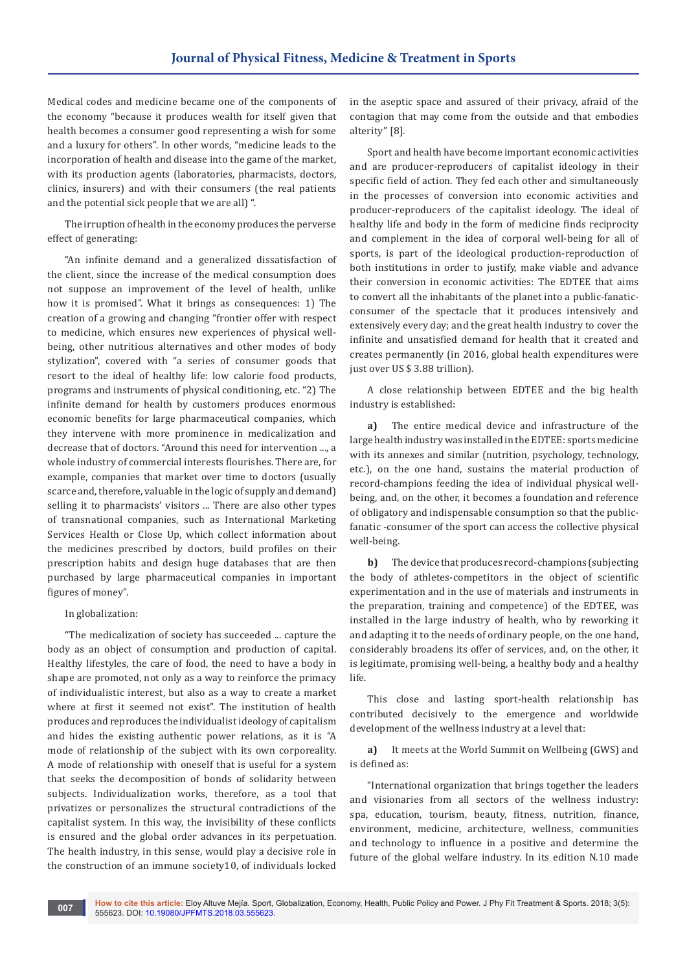Medical codes and medicine became one of the components of the economy "because it produces wealth for itself given that health becomes a consumer good representing a wish for some and a luxury for others". In other words, "medicine leads to the incorporation of health and disease into the game of the market, with its production agents (laboratories, pharmacists, doctors, clinics, insurers) and with their consumers (the real patients and the potential sick people that we are all) ".

The irruption of health in the economy produces the perverse effect of generating:

"An infinite demand and a generalized dissatisfaction of the client, since the increase of the medical consumption does not suppose an improvement of the level of health, unlike how it is promised". What it brings as consequences: 1) The creation of a growing and changing "frontier offer with respect to medicine, which ensures new experiences of physical wellbeing, other nutritious alternatives and other modes of body stylization", covered with "a series of consumer goods that resort to the ideal of healthy life: low calorie food products, programs and instruments of physical conditioning, etc. "2) The infinite demand for health by customers produces enormous economic benefits for large pharmaceutical companies, which they intervene with more prominence in medicalization and decrease that of doctors. "Around this need for intervention ..., a whole industry of commercial interests flourishes. There are, for example, companies that market over time to doctors (usually scarce and, therefore, valuable in the logic of supply and demand) selling it to pharmacists' visitors ... There are also other types of transnational companies, such as International Marketing Services Health or Close Up, which collect information about the medicines prescribed by doctors, build profiles on their prescription habits and design huge databases that are then purchased by large pharmaceutical companies in important figures of money".

#### In globalization:

"The medicalization of society has succeeded ... capture the body as an object of consumption and production of capital. Healthy lifestyles, the care of food, the need to have a body in shape are promoted, not only as a way to reinforce the primacy of individualistic interest, but also as a way to create a market where at first it seemed not exist". The institution of health produces and reproduces the individualist ideology of capitalism and hides the existing authentic power relations, as it is "A mode of relationship of the subject with its own corporeality. A mode of relationship with oneself that is useful for a system that seeks the decomposition of bonds of solidarity between subjects. Individualization works, therefore, as a tool that privatizes or personalizes the structural contradictions of the capitalist system. In this way, the invisibility of these conflicts is ensured and the global order advances in its perpetuation. The health industry, in this sense, would play a decisive role in the construction of an immune society10, of individuals locked

in the aseptic space and assured of their privacy, afraid of the contagion that may come from the outside and that embodies alterity" [8].

Sport and health have become important economic activities and are producer-reproducers of capitalist ideology in their specific field of action. They fed each other and simultaneously in the processes of conversion into economic activities and producer-reproducers of the capitalist ideology. The ideal of healthy life and body in the form of medicine finds reciprocity and complement in the idea of corporal well-being for all of sports, is part of the ideological production-reproduction of both institutions in order to justify, make viable and advance their conversion in economic activities: The EDTEE that aims to convert all the inhabitants of the planet into a public-fanaticconsumer of the spectacle that it produces intensively and extensively every day; and the great health industry to cover the infinite and unsatisfied demand for health that it created and creates permanently (in 2016, global health expenditures were just over US \$ 3.88 trillion).

A close relationship between EDTEE and the big health industry is established:

**a)** The entire medical device and infrastructure of the large health industry was installed in the EDTEE: sports medicine with its annexes and similar (nutrition, psychology, technology, etc.), on the one hand, sustains the material production of record-champions feeding the idea of individual physical wellbeing, and, on the other, it becomes a foundation and reference of obligatory and indispensable consumption so that the publicfanatic -consumer of the sport can access the collective physical well-being.

**b)** The device that produces record-champions (subjecting the body of athletes-competitors in the object of scientific experimentation and in the use of materials and instruments in the preparation, training and competence) of the EDTEE, was installed in the large industry of health, who by reworking it and adapting it to the needs of ordinary people, on the one hand, considerably broadens its offer of services, and, on the other, it is legitimate, promising well-being, a healthy body and a healthy life.

This close and lasting sport-health relationship has contributed decisively to the emergence and worldwide development of the wellness industry at a level that:

**a)** It meets at the World Summit on Wellbeing (GWS) and is defined as:

"International organization that brings together the leaders and visionaries from all sectors of the wellness industry: spa, education, tourism, beauty, fitness, nutrition, finance, environment, medicine, architecture, wellness, communities and technology to influence in a positive and determine the future of the global welfare industry. In its edition N.10 made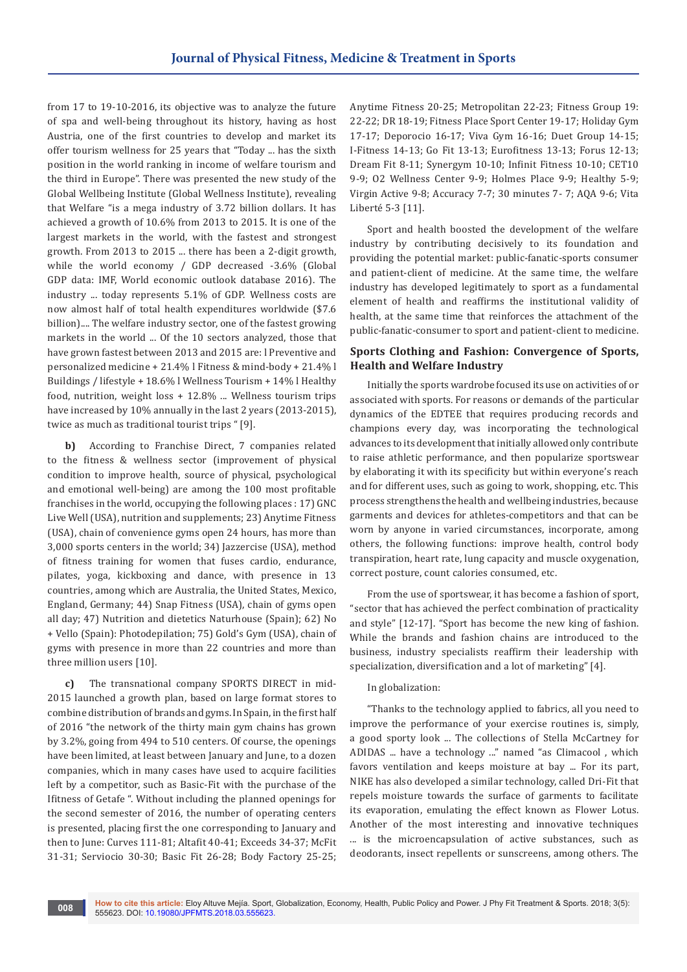from 17 to 19-10-2016, its objective was to analyze the future of spa and well-being throughout its history, having as host Austria, one of the first countries to develop and market its offer tourism wellness for 25 years that "Today ... has the sixth position in the world ranking in income of welfare tourism and the third in Europe". There was presented the new study of the Global Wellbeing Institute (Global Wellness Institute), revealing that Welfare "is a mega industry of 3.72 billion dollars. It has achieved a growth of 10.6% from 2013 to 2015. It is one of the largest markets in the world, with the fastest and strongest growth. From 2013 to 2015 ... there has been a 2-digit growth, while the world economy / GDP decreased -3.6% (Global GDP data: IMF, World economic outlook database 2016). The industry ... today represents 5.1% of GDP. Wellness costs are now almost half of total health expenditures worldwide (\$7.6 billion).... The welfare industry sector, one of the fastest growing markets in the world ... Of the 10 sectors analyzed, those that have grown fastest between 2013 and 2015 are: l Preventive and personalized medicine + 21.4% l Fitness & mind-body + 21.4% l Buildings / lifestyle + 18.6% l Wellness Tourism + 14% l Healthy food, nutrition, weight loss + 12.8% ... Wellness tourism trips have increased by 10% annually in the last 2 years (2013-2015), twice as much as traditional tourist trips " [9].

**b)** According to Franchise Direct, 7 companies related to the fitness & wellness sector (improvement of physical condition to improve health, source of physical, psychological and emotional well-being) are among the 100 most profitable franchises in the world, occupying the following places : 17) GNC Live Well (USA), nutrition and supplements; 23) Anytime Fitness (USA), chain of convenience gyms open 24 hours, has more than 3,000 sports centers in the world; 34) Jazzercise (USA), method of fitness training for women that fuses cardio, endurance, pilates, yoga, kickboxing and dance, with presence in 13 countries, among which are Australia, the United States, Mexico, England, Germany; 44) Snap Fitness (USA), chain of gyms open all day; 47) Nutrition and dietetics Naturhouse (Spain); 62) No + Vello (Spain): Photodepilation; 75) Gold's Gym (USA), chain of gyms with presence in more than 22 countries and more than three million users [10].

**c)** The transnational company SPORTS DIRECT in mid-2015 launched a growth plan, based on large format stores to combine distribution of brands and gyms. In Spain, in the first half of 2016 "the network of the thirty main gym chains has grown by 3.2%, going from 494 to 510 centers. Of course, the openings have been limited, at least between January and June, to a dozen companies, which in many cases have used to acquire facilities left by a competitor, such as Basic-Fit with the purchase of the Ifitness of Getafe ". Without including the planned openings for the second semester of 2016, the number of operating centers is presented, placing first the one corresponding to January and then to June: Curves 111-81; Altafit 40-41; Exceeds 34-37; McFit 31-31; Serviocio 30-30; Basic Fit 26-28; Body Factory 25-25;

Anytime Fitness 20-25; Metropolitan 22-23; Fitness Group 19: 22-22; DR 18-19; Fitness Place Sport Center 19-17; Holiday Gym 17-17; Deporocio 16-17; Viva Gym 16-16; Duet Group 14-15; I-Fitness 14-13; Go Fit 13-13; Eurofitness 13-13; Forus 12-13; Dream Fit 8-11; Synergym 10-10; Infinit Fitness 10-10; CET10 9-9; O2 Wellness Center 9-9; Holmes Place 9-9; Healthy 5-9; Virgin Active 9-8; Accuracy 7-7; 30 minutes 7- 7; AQA 9-6; Vita Liberté 5-3 [11].

Sport and health boosted the development of the welfare industry by contributing decisively to its foundation and providing the potential market: public-fanatic-sports consumer and patient-client of medicine. At the same time, the welfare industry has developed legitimately to sport as a fundamental element of health and reaffirms the institutional validity of health, at the same time that reinforces the attachment of the public-fanatic-consumer to sport and patient-client to medicine.

## **Sports Clothing and Fashion: Convergence of Sports, Health and Welfare Industry**

Initially the sports wardrobe focused its use on activities of or associated with sports. For reasons or demands of the particular dynamics of the EDTEE that requires producing records and champions every day, was incorporating the technological advances to its development that initially allowed only contribute to raise athletic performance, and then popularize sportswear by elaborating it with its specificity but within everyone's reach and for different uses, such as going to work, shopping, etc. This process strengthens the health and wellbeing industries, because garments and devices for athletes-competitors and that can be worn by anyone in varied circumstances, incorporate, among others, the following functions: improve health, control body transpiration, heart rate, lung capacity and muscle oxygenation, correct posture, count calories consumed, etc.

From the use of sportswear, it has become a fashion of sport, "sector that has achieved the perfect combination of practicality and style" [12-17]. "Sport has become the new king of fashion. While the brands and fashion chains are introduced to the business, industry specialists reaffirm their leadership with specialization, diversification and a lot of marketing" [4].

### In globalization:

"Thanks to the technology applied to fabrics, all you need to improve the performance of your exercise routines is, simply, a good sporty look ... The collections of Stella McCartney for ADIDAS ... have a technology ..." named "as Climacool , which favors ventilation and keeps moisture at bay ... For its part, NIKE has also developed a similar technology, called Dri-Fit that repels moisture towards the surface of garments to facilitate its evaporation, emulating the effect known as Flower Lotus. Another of the most interesting and innovative techniques ... is the microencapsulation of active substances, such as deodorants, insect repellents or sunscreens, among others. The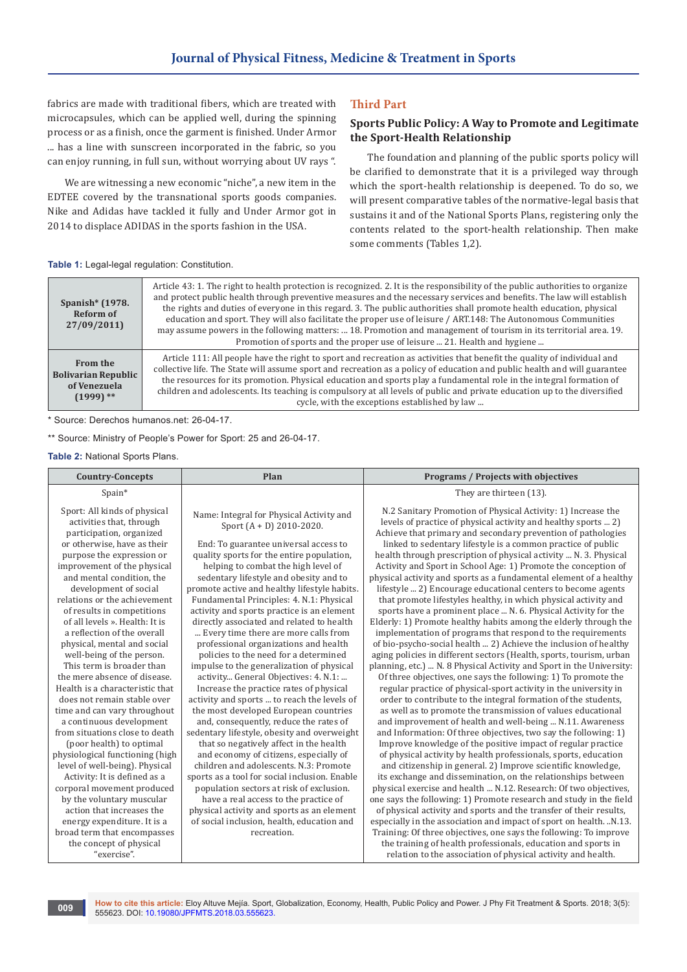fabrics are made with traditional fibers, which are treated with microcapsules, which can be applied well, during the spinning process or as a finish, once the garment is finished. Under Armor ... has a line with sunscreen incorporated in the fabric, so you can enjoy running, in full sun, without worrying about UV rays ".

We are witnessing a new economic "niche", a new item in the EDTEE covered by the transnational sports goods companies. Nike and Adidas have tackled it fully and Under Armor got in 2014 to displace ADIDAS in the sports fashion in the USA.

## **Third Part**

## **Sports Public Policy: A Way to Promote and Legitimate the Sport-Health Relationship**

The foundation and planning of the public sports policy will be clarified to demonstrate that it is a privileged way through which the sport-health relationship is deepened. To do so, we will present comparative tables of the normative-legal basis that sustains it and of the National Sports Plans, registering only the contents related to the sport-health relationship. Then make some comments (Tables 1,2).

#### **Table 1:** Legal-legal regulation: Constitution.

| Spanish* (1978.<br>Reform of<br>27/09/2011)                                  | Article 43: 1. The right to health protection is recognized. 2. It is the responsibility of the public authorities to organize<br>and protect public health through preventive measures and the necessary services and benefits. The law will establish<br>the rights and duties of everyone in this regard. 3. The public authorities shall promote health education, physical<br>education and sport. They will also facilitate the proper use of leisure / ART.148: The Autonomous Communities<br>may assume powers in the following matters:  18. Promotion and management of tourism in its territorial area. 19.<br>Promotion of sports and the proper use of leisure  21. Health and hygiene |
|------------------------------------------------------------------------------|-----------------------------------------------------------------------------------------------------------------------------------------------------------------------------------------------------------------------------------------------------------------------------------------------------------------------------------------------------------------------------------------------------------------------------------------------------------------------------------------------------------------------------------------------------------------------------------------------------------------------------------------------------------------------------------------------------|
| <b>From the</b><br><b>Bolivarian Republic</b><br>of Venezuela<br>$(1999)$ ** | Article 111: All people have the right to sport and recreation as activities that benefit the quality of individual and<br>collective life. The State will assume sport and recreation as a policy of education and public health and will guarantee<br>the resources for its promotion. Physical education and sports play a fundamental role in the integral formation of<br>children and adolescents. Its teaching is compulsory at all levels of public and private education up to the diversified<br>cycle, with the exceptions established by law                                                                                                                                            |

\* Source: Derechos humanos.net: 26-04-17.

\*\* Source: Ministry of People's Power for Sport: 25 and 26-04-17.

**Table 2:** National Sports Plans.

| <b>Country-Concepts</b>                                                                                                                                                                                                                                                                                                                                                                                                                                                                                                                                                                                                                                                                   | Plan                                                                                                                                                                                                                                                                                                                                                                                                                                                                                                                                                                                                                                                                                                                                                                                                                                                                                                                       | Programs / Projects with objectives                                                                                                                                                                                                                                                                                                                                                                                                                                                                                                                                                                                                                                                                                                                                                                                                                                                                                                                                                                                                                                                                                                                                                                                                                                                                                                                                                                                                                                                                           |
|-------------------------------------------------------------------------------------------------------------------------------------------------------------------------------------------------------------------------------------------------------------------------------------------------------------------------------------------------------------------------------------------------------------------------------------------------------------------------------------------------------------------------------------------------------------------------------------------------------------------------------------------------------------------------------------------|----------------------------------------------------------------------------------------------------------------------------------------------------------------------------------------------------------------------------------------------------------------------------------------------------------------------------------------------------------------------------------------------------------------------------------------------------------------------------------------------------------------------------------------------------------------------------------------------------------------------------------------------------------------------------------------------------------------------------------------------------------------------------------------------------------------------------------------------------------------------------------------------------------------------------|---------------------------------------------------------------------------------------------------------------------------------------------------------------------------------------------------------------------------------------------------------------------------------------------------------------------------------------------------------------------------------------------------------------------------------------------------------------------------------------------------------------------------------------------------------------------------------------------------------------------------------------------------------------------------------------------------------------------------------------------------------------------------------------------------------------------------------------------------------------------------------------------------------------------------------------------------------------------------------------------------------------------------------------------------------------------------------------------------------------------------------------------------------------------------------------------------------------------------------------------------------------------------------------------------------------------------------------------------------------------------------------------------------------------------------------------------------------------------------------------------------------|
| Spain*                                                                                                                                                                                                                                                                                                                                                                                                                                                                                                                                                                                                                                                                                    |                                                                                                                                                                                                                                                                                                                                                                                                                                                                                                                                                                                                                                                                                                                                                                                                                                                                                                                            | They are thirteen (13).                                                                                                                                                                                                                                                                                                                                                                                                                                                                                                                                                                                                                                                                                                                                                                                                                                                                                                                                                                                                                                                                                                                                                                                                                                                                                                                                                                                                                                                                                       |
| Sport: All kinds of physical<br>activities that, through<br>participation, organized<br>or otherwise, have as their<br>purpose the expression or<br>improvement of the physical<br>and mental condition, the<br>development of social<br>relations or the achievement<br>of results in competitions<br>of all levels ». Health: It is<br>a reflection of the overall<br>physical, mental and social<br>well-being of the person.<br>This term is broader than<br>the mere absence of disease.<br>Health is a characteristic that<br>does not remain stable over<br>time and can vary throughout<br>a continuous development<br>from situations close to death<br>(poor health) to optimal | Name: Integral for Physical Activity and<br>Sport $(A + D)$ 2010-2020.<br>End: To guarantee universal access to<br>quality sports for the entire population,<br>helping to combat the high level of<br>sedentary lifestyle and obesity and to<br>promote active and healthy lifestyle habits.<br>Fundamental Principles: 4. N.1: Physical<br>activity and sports practice is an element<br>directly associated and related to health<br>Every time there are more calls from<br>professional organizations and health<br>policies to the need for a determined<br>impulse to the generalization of physical<br>activity General Objectives: 4. N.1:<br>Increase the practice rates of physical<br>activity and sports  to reach the levels of<br>the most developed European countries<br>and, consequently, reduce the rates of<br>sedentary lifestyle, obesity and overweight<br>that so negatively affect in the health | N.2 Sanitary Promotion of Physical Activity: 1) Increase the<br>levels of practice of physical activity and healthy sports  2)<br>Achieve that primary and secondary prevention of pathologies<br>linked to sedentary lifestyle is a common practice of public<br>health through prescription of physical activity  N. 3. Physical<br>Activity and Sport in School Age: 1) Promote the conception of<br>physical activity and sports as a fundamental element of a healthy<br>lifestyle  2) Encourage educational centers to become agents<br>that promote lifestyles healthy, in which physical activity and<br>sports have a prominent place  N. 6. Physical Activity for the<br>Elderly: 1) Promote healthy habits among the elderly through the<br>implementation of programs that respond to the requirements<br>of bio-psycho-social health  2) Achieve the inclusion of healthy<br>aging policies in different sectors (Health, sports, tourism, urban<br>planning, etc.)  N. 8 Physical Activity and Sport in the University:<br>Of three objectives, one says the following: 1) To promote the<br>regular practice of physical-sport activity in the university in<br>order to contribute to the integral formation of the students,<br>as well as to promote the transmission of values educational<br>and improvement of health and well-being  N.11. Awareness<br>and Information: Of three objectives, two say the following: 1)<br>Improve knowledge of the positive impact of regular practice |
| physiological functioning (high<br>level of well-being). Physical                                                                                                                                                                                                                                                                                                                                                                                                                                                                                                                                                                                                                         | and economy of citizens, especially of<br>children and adolescents, N.3: Promote                                                                                                                                                                                                                                                                                                                                                                                                                                                                                                                                                                                                                                                                                                                                                                                                                                           | of physical activity by health professionals, sports, education<br>and citizenship in general. 2) Improve scientific knowledge,                                                                                                                                                                                                                                                                                                                                                                                                                                                                                                                                                                                                                                                                                                                                                                                                                                                                                                                                                                                                                                                                                                                                                                                                                                                                                                                                                                               |
| Activity: It is defined as a                                                                                                                                                                                                                                                                                                                                                                                                                                                                                                                                                                                                                                                              | sports as a tool for social inclusion. Enable                                                                                                                                                                                                                                                                                                                                                                                                                                                                                                                                                                                                                                                                                                                                                                                                                                                                              | its exchange and dissemination, on the relationships between                                                                                                                                                                                                                                                                                                                                                                                                                                                                                                                                                                                                                                                                                                                                                                                                                                                                                                                                                                                                                                                                                                                                                                                                                                                                                                                                                                                                                                                  |
| corporal movement produced                                                                                                                                                                                                                                                                                                                                                                                                                                                                                                                                                                                                                                                                | population sectors at risk of exclusion.                                                                                                                                                                                                                                                                                                                                                                                                                                                                                                                                                                                                                                                                                                                                                                                                                                                                                   | physical exercise and health  N.12. Research: Of two objectives,                                                                                                                                                                                                                                                                                                                                                                                                                                                                                                                                                                                                                                                                                                                                                                                                                                                                                                                                                                                                                                                                                                                                                                                                                                                                                                                                                                                                                                              |
| by the voluntary muscular                                                                                                                                                                                                                                                                                                                                                                                                                                                                                                                                                                                                                                                                 | have a real access to the practice of                                                                                                                                                                                                                                                                                                                                                                                                                                                                                                                                                                                                                                                                                                                                                                                                                                                                                      | one says the following: 1) Promote research and study in the field                                                                                                                                                                                                                                                                                                                                                                                                                                                                                                                                                                                                                                                                                                                                                                                                                                                                                                                                                                                                                                                                                                                                                                                                                                                                                                                                                                                                                                            |
| action that increases the                                                                                                                                                                                                                                                                                                                                                                                                                                                                                                                                                                                                                                                                 | physical activity and sports as an element                                                                                                                                                                                                                                                                                                                                                                                                                                                                                                                                                                                                                                                                                                                                                                                                                                                                                 | of physical activity and sports and the transfer of their results,                                                                                                                                                                                                                                                                                                                                                                                                                                                                                                                                                                                                                                                                                                                                                                                                                                                                                                                                                                                                                                                                                                                                                                                                                                                                                                                                                                                                                                            |
| energy expenditure. It is a                                                                                                                                                                                                                                                                                                                                                                                                                                                                                                                                                                                                                                                               | of social inclusion, health, education and                                                                                                                                                                                                                                                                                                                                                                                                                                                                                                                                                                                                                                                                                                                                                                                                                                                                                 | especially in the association and impact of sport on health. N.13.                                                                                                                                                                                                                                                                                                                                                                                                                                                                                                                                                                                                                                                                                                                                                                                                                                                                                                                                                                                                                                                                                                                                                                                                                                                                                                                                                                                                                                            |
| broad term that encompasses                                                                                                                                                                                                                                                                                                                                                                                                                                                                                                                                                                                                                                                               | recreation.                                                                                                                                                                                                                                                                                                                                                                                                                                                                                                                                                                                                                                                                                                                                                                                                                                                                                                                | Training: Of three objectives, one says the following: To improve                                                                                                                                                                                                                                                                                                                                                                                                                                                                                                                                                                                                                                                                                                                                                                                                                                                                                                                                                                                                                                                                                                                                                                                                                                                                                                                                                                                                                                             |
| the concept of physical                                                                                                                                                                                                                                                                                                                                                                                                                                                                                                                                                                                                                                                                   |                                                                                                                                                                                                                                                                                                                                                                                                                                                                                                                                                                                                                                                                                                                                                                                                                                                                                                                            | the training of health professionals, education and sports in                                                                                                                                                                                                                                                                                                                                                                                                                                                                                                                                                                                                                                                                                                                                                                                                                                                                                                                                                                                                                                                                                                                                                                                                                                                                                                                                                                                                                                                 |
| "exercise".                                                                                                                                                                                                                                                                                                                                                                                                                                                                                                                                                                                                                                                                               |                                                                                                                                                                                                                                                                                                                                                                                                                                                                                                                                                                                                                                                                                                                                                                                                                                                                                                                            | relation to the association of physical activity and health.                                                                                                                                                                                                                                                                                                                                                                                                                                                                                                                                                                                                                                                                                                                                                                                                                                                                                                                                                                                                                                                                                                                                                                                                                                                                                                                                                                                                                                                  |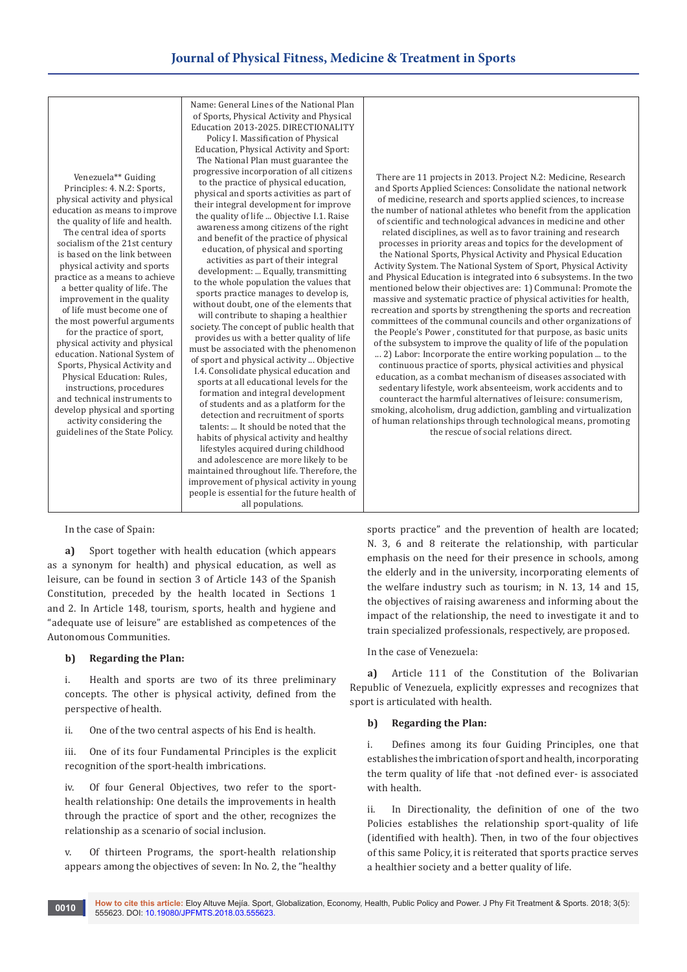## **Journal of Physical Fitness, Medicine & Treatment in Sports**



In the case of Spain:

**a)** Sport together with health education (which appears as a synonym for health) and physical education, as well as leisure, can be found in section 3 of Article 143 of the Spanish Constitution, preceded by the health located in Sections 1 and 2. In Article 148, tourism, sports, health and hygiene and "adequate use of leisure" are established as competences of the Autonomous Communities.

#### **b) Regarding the Plan:**

i. Health and sports are two of its three preliminary concepts. The other is physical activity, defined from the perspective of health.

ii. One of the two central aspects of his End is health.

iii. One of its four Fundamental Principles is the explicit recognition of the sport-health imbrications.

iv. Of four General Objectives, two refer to the sporthealth relationship: One details the improvements in health through the practice of sport and the other, recognizes the relationship as a scenario of social inclusion.

Of thirteen Programs, the sport-health relationship appears among the objectives of seven: In No. 2, the "healthy sports practice" and the prevention of health are located; N. 3, 6 and 8 reiterate the relationship, with particular emphasis on the need for their presence in schools, among the elderly and in the university, incorporating elements of the welfare industry such as tourism; in N. 13, 14 and 15, the objectives of raising awareness and informing about the impact of the relationship, the need to investigate it and to train specialized professionals, respectively, are proposed.

In the case of Venezuela:

**a)** Article 111 of the Constitution of the Bolivarian Republic of Venezuela, explicitly expresses and recognizes that sport is articulated with health.

#### **b) Regarding the Plan:**

i. Defines among its four Guiding Principles, one that establishes the imbrication of sport and health, incorporating the term quality of life that -not defined ever- is associated with health.

ii. In Directionality, the definition of one of the two Policies establishes the relationship sport-quality of life (identified with health). Then, in two of the four objectives of this same Policy, it is reiterated that sports practice serves a healthier society and a better quality of life.